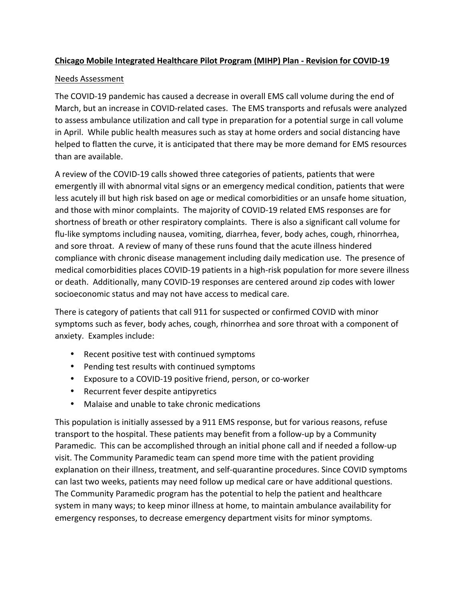## **Chicago Mobile Integrated Healthcare Pilot Program (MIHP) Plan - Revision for COVID-19**

## Needs Assessment

The COVID-19 pandemic has caused a decrease in overall EMS call volume during the end of March, but an increase in COVID-related cases. The EMS transports and refusals were analyzed to assess ambulance utilization and call type in preparation for a potential surge in call volume in April. While public health measures such as stay at home orders and social distancing have helped to flatten the curve, it is anticipated that there may be more demand for EMS resources than are available.

A review of the COVID-19 calls showed three categories of patients, patients that were emergently ill with abnormal vital signs or an emergency medical condition, patients that were less acutely ill but high risk based on age or medical comorbidities or an unsafe home situation, and those with minor complaints. The majority of COVID-19 related EMS responses are for shortness of breath or other respiratory complaints. There is also a significant call volume for flu-like symptoms including nausea, vomiting, diarrhea, fever, body aches, cough, rhinorrhea, and sore throat. A review of many of these runs found that the acute illness hindered compliance with chronic disease management including daily medication use. The presence of medical comorbidities places COVID-19 patients in a high-risk population for more severe illness or death. Additionally, many COVID-19 responses are centered around zip codes with lower socioeconomic status and may not have access to medical care.

There is category of patients that call 911 for suspected or confirmed COVID with minor symptoms such as fever, body aches, cough, rhinorrhea and sore throat with a component of anxiety. Examples include:

- Recent positive test with continued symptoms
- Pending test results with continued symptoms
- Exposure to a COVID-19 positive friend, person, or co-worker
- Recurrent fever despite antipyretics
- Malaise and unable to take chronic medications

This population is initially assessed by a 911 EMS response, but for various reasons, refuse transport to the hospital. These patients may benefit from a follow-up by a Community Paramedic. This can be accomplished through an initial phone call and if needed a follow-up visit. The Community Paramedic team can spend more time with the patient providing explanation on their illness, treatment, and self-quarantine procedures. Since COVID symptoms can last two weeks, patients may need follow up medical care or have additional questions. The Community Paramedic program has the potential to help the patient and healthcare system in many ways; to keep minor illness at home, to maintain ambulance availability for emergency responses, to decrease emergency department visits for minor symptoms.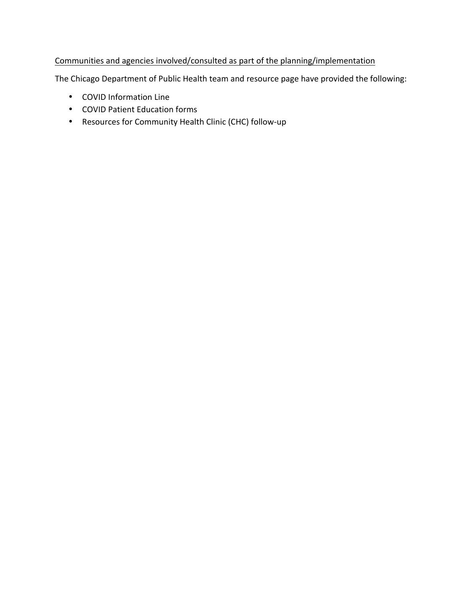## Communities and agencies involved/consulted as part of the planning/implementation

The Chicago Department of Public Health team and resource page have provided the following:

- COVID Information Line
- COVID Patient Education forms
- Resources for Community Health Clinic (CHC) follow-up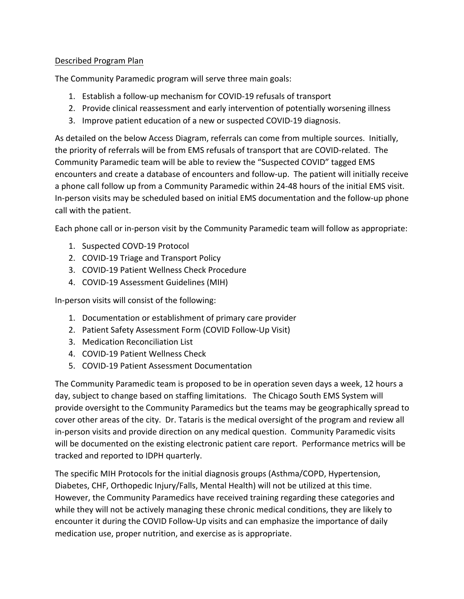## Described Program Plan

The Community Paramedic program will serve three main goals:

- 1. Establish a follow-up mechanism for COVID-19 refusals of transport
- 2. Provide clinical reassessment and early intervention of potentially worsening illness
- 3. Improve patient education of a new or suspected COVID-19 diagnosis.

As detailed on the below Access Diagram, referrals can come from multiple sources. Initially, the priority of referrals will be from EMS refusals of transport that are COVID-related. The Community Paramedic team will be able to review the "Suspected COVID" tagged EMS encounters and create a database of encounters and follow-up. The patient will initially receive a phone call follow up from a Community Paramedic within 24-48 hours of the initial EMS visit. In-person visits may be scheduled based on initial EMS documentation and the follow-up phone call with the patient.

Each phone call or in-person visit by the Community Paramedic team will follow as appropriate:

- 1. Suspected COVD-19 Protocol
- 2. COVID-19 Triage and Transport Policy
- 3. COVID-19 Patient Wellness Check Procedure
- 4. COVID-19 Assessment Guidelines (MIH)

In-person visits will consist of the following:

- 1. Documentation or establishment of primary care provider
- 2. Patient Safety Assessment Form (COVID Follow-Up Visit)
- 3. Medication Reconciliation List
- 4. COVID-19 Patient Wellness Check
- 5. COVID-19 Patient Assessment Documentation

The Community Paramedic team is proposed to be in operation seven days a week, 12 hours a day, subject to change based on staffing limitations. The Chicago South EMS System will provide oversight to the Community Paramedics but the teams may be geographically spread to cover other areas of the city. Dr. Tataris is the medical oversight of the program and review all in-person visits and provide direction on any medical question. Community Paramedic visits will be documented on the existing electronic patient care report. Performance metrics will be tracked and reported to IDPH quarterly.

The specific MIH Protocols for the initial diagnosis groups (Asthma/COPD, Hypertension, Diabetes, CHF, Orthopedic Injury/Falls, Mental Health) will not be utilized at this time. However, the Community Paramedics have received training regarding these categories and while they will not be actively managing these chronic medical conditions, they are likely to encounter it during the COVID Follow-Up visits and can emphasize the importance of daily medication use, proper nutrition, and exercise as is appropriate.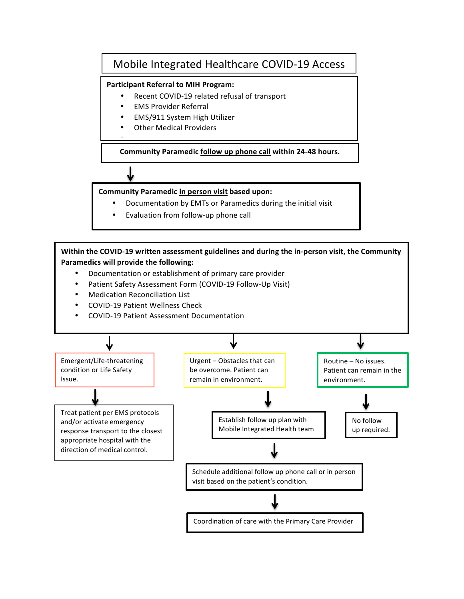## Mobile Integrated Healthcare COVID-19 Access

#### **Participant Referral to MIH Program:**

- Recent COVID-19 related refusal of transport
- **EMS Provider Referral**
- EMS/911 System High Utilizer
- **Other Medical Providers**

**Community Paramedic follow up phone call within 24-48 hours.**

**Community Paramedic in person visit based upon:**

- Documentation by EMTs or Paramedics during the initial visit
- Evaluation from follow-up phone call

Within the COVID-19 written assessment guidelines and during the in-person visit, the Community **Paramedics will provide the following:** 

- Documentation or establishment of primary care provider
- Patient Safety Assessment Form (COVID-19 Follow-Up Visit)
- **Medication Reconciliation List**

•

- COVID-19 Patient Wellness Check
- COVID-19 Patient Assessment Documentation

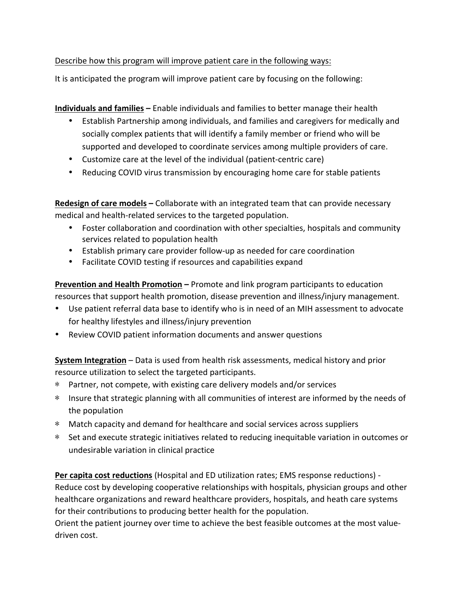Describe how this program will improve patient care in the following ways:

It is anticipated the program will improve patient care by focusing on the following:

**Individuals and families** – Enable individuals and families to better manage their health

- Establish Partnership among individuals, and families and caregivers for medically and socially complex patients that will identify a family member or friend who will be supported and developed to coordinate services among multiple providers of care.
- Customize care at the level of the individual (patient-centric care)
- Reducing COVID virus transmission by encouraging home care for stable patients

**Redesign of care models** – Collaborate with an integrated team that can provide necessary medical and health-related services to the targeted population.

- Foster collaboration and coordination with other specialties, hospitals and community services related to population health
- Establish primary care provider follow-up as needed for care coordination
- Facilitate COVID testing if resources and capabilities expand

**Prevention and Health Promotion** – Promote and link program participants to education resources that support health promotion, disease prevention and illness/injury management.

- Use patient referral data base to identify who is in need of an MIH assessment to advocate for healthy lifestyles and illness/injury prevention
- Review COVID patient information documents and answer questions

**System Integration** – Data is used from health risk assessments, medical history and prior resource utilization to select the targeted participants.

- \* Partner, not compete, with existing care delivery models and/or services
- \* Insure that strategic planning with all communities of interest are informed by the needs of the population
- \* Match capacity and demand for healthcare and social services across suppliers
- \* Set and execute strategic initiatives related to reducing inequitable variation in outcomes or undesirable variation in clinical practice

**Per capita cost reductions** (Hospital and ED utilization rates; EMS response reductions) -Reduce cost by developing cooperative relationships with hospitals, physician groups and other healthcare organizations and reward healthcare providers, hospitals, and heath care systems for their contributions to producing better health for the population.

Orient the patient journey over time to achieve the best feasible outcomes at the most valuedriven cost.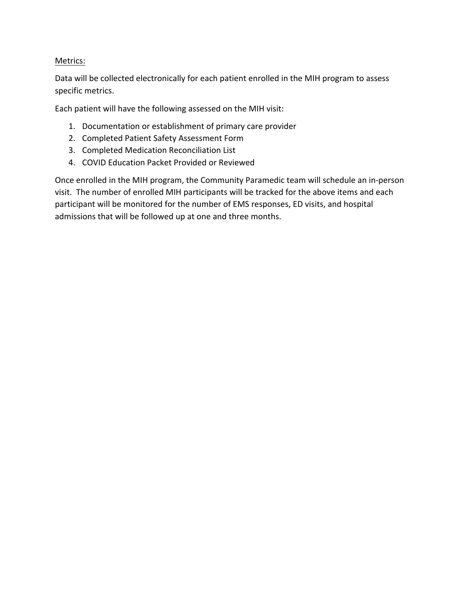## Metrics:

Data will be collected electronically for each patient enrolled in the MIH program to assess specific metrics.

Each patient will have the following assessed on the MIH visit:

- 1. Documentation or establishment of primary care provider
- 2. Completed Patient Safety Assessment Form
- 3. Completed Medication Reconciliation List
- 4. COVID Education Packet Provided or Reviewed

Once enrolled in the MIH program, the Community Paramedic team will schedule an in-person visit. The number of enrolled MIH participants will be tracked for the above items and each participant will be monitored for the number of EMS responses, ED visits, and hospital admissions that will be followed up at one and three months.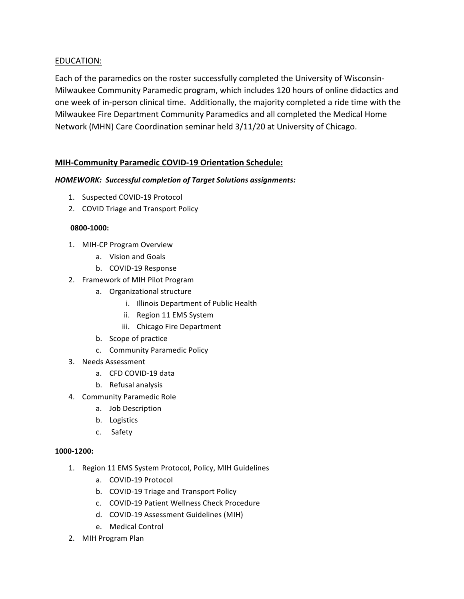## EDUCATION:

Each of the paramedics on the roster successfully completed the University of Wisconsin-Milwaukee Community Paramedic program, which includes 120 hours of online didactics and one week of in-person clinical time. Additionally, the majority completed a ride time with the Milwaukee Fire Department Community Paramedics and all completed the Medical Home Network (MHN) Care Coordination seminar held 3/11/20 at University of Chicago.

## **MIH-Community Paramedic COVID-19 Orientation Schedule:**

#### HOMEWORK: Successful completion of Target Solutions assignments:

- 1. Suspected COVID-19 Protocol
- 2. COVID Triage and Transport Policy

#### **0800-1000:**

- 1. MIH-CP Program Overview
	- a. Vision and Goals
	- b. COVID-19 Response
- 2. Framework of MIH Pilot Program
	- a. Organizational structure
		- i. Illinois Department of Public Health
		- ii. Region 11 EMS System
		- iii. Chicago Fire Department
	- b. Scope of practice
	- c. Community Paramedic Policy
- 3. Needs Assessment
	- a. CFD COVID-19 data
	- b. Refusal analysis
- 4. Community Paramedic Role
	- a. Job Description
	- b. Logistics
	- c. Safety

## **1000-1200:**

- 1. Region 11 EMS System Protocol, Policy, MIH Guidelines
	- a. COVID-19 Protocol
	- b. COVID-19 Triage and Transport Policy
	- c. COVID-19 Patient Wellness Check Procedure
	- d. COVID-19 Assessment Guidelines (MIH)
	- e. Medical Control
- 2. MIH Program Plan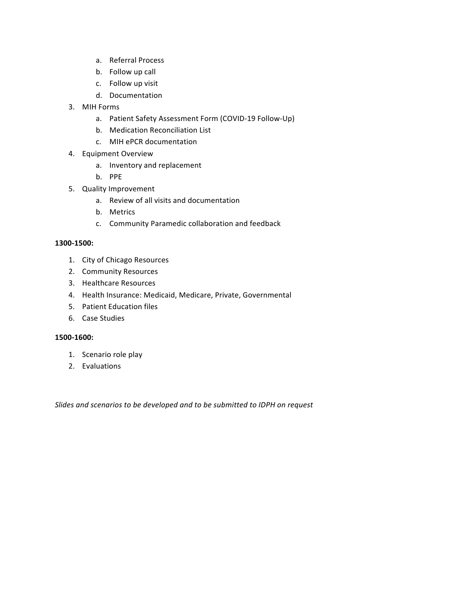- a. Referral Process
- b. Follow up call
- c. Follow up visit
- d. Documentation
- 3. MIH Forms
	- a. Patient Safety Assessment Form (COVID-19 Follow-Up)
	- b. Medication Reconciliation List
	- c. MIH ePCR documentation
- 4. Equipment Overview
	- a. Inventory and replacement
	- b. PPE
- 5. Quality Improvement
	- a. Review of all visits and documentation
	- b. Metrics
	- c. Community Paramedic collaboration and feedback

#### **1300-1500:**

- 1. City of Chicago Resources
- 2. Community Resources
- 3. Healthcare Resources
- 4. Health Insurance: Medicaid, Medicare, Private, Governmental
- 5. Patient Education files
- 6. Case Studies

#### **1500-1600:**

- 1. Scenario role play
- 2. Evaluations

Slides and scenarios to be developed and to be submitted to IDPH on request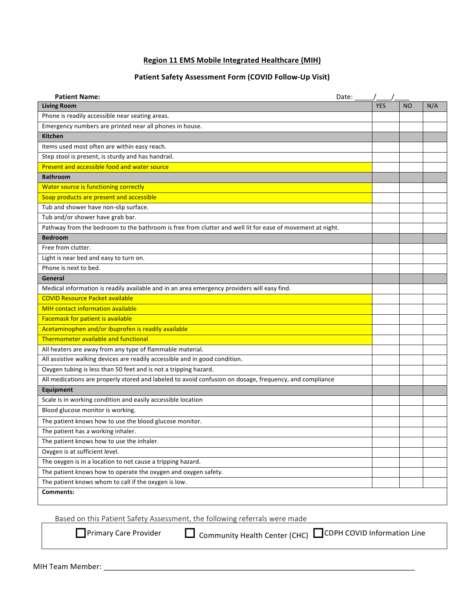#### **Region 11 EMS Mobile Integrated Healthcare (MIH)**

## **Patient Safety Assessment Form (COVID Follow-Up Visit)**

| <b>Patient Name:</b><br>Date:                                                                             |            |           |     |
|-----------------------------------------------------------------------------------------------------------|------------|-----------|-----|
| <b>Living Room</b>                                                                                        | <b>YES</b> | <b>NO</b> | N/A |
| Phone is readily accessible near seating areas.                                                           |            |           |     |
| Emergency numbers are printed near all phones in house.                                                   |            |           |     |
| <b>Kitchen</b>                                                                                            |            |           |     |
| Items used most often are within easy reach.                                                              |            |           |     |
| Step stool is present, is sturdy and has handrail.                                                        |            |           |     |
| Present and accessible food and water source                                                              |            |           |     |
| <b>Bathroom</b>                                                                                           |            |           |     |
| Water source is functioning correctly                                                                     |            |           |     |
| Soap products are present and accessible                                                                  |            |           |     |
| Tub and shower have non-slip surface.                                                                     |            |           |     |
| Tub and/or shower have grab bar.                                                                          |            |           |     |
| Pathway from the bedroom to the bathroom is free from clutter and well lit for ease of movement at night. |            |           |     |
| <b>Bedroom</b>                                                                                            |            |           |     |
| Free from clutter.                                                                                        |            |           |     |
| Light is near bed and easy to turn on.                                                                    |            |           |     |
| Phone is next to bed.                                                                                     |            |           |     |
| General                                                                                                   |            |           |     |
| Medical information is readily available and in an area emergency providers will easy find.               |            |           |     |
| <b>COVID Resource Packet available</b>                                                                    |            |           |     |
| <b>MIH contact information available</b>                                                                  |            |           |     |
| Facemask for patient is available                                                                         |            |           |     |
| Acetaminophen and/or ibuprofen is readily available                                                       |            |           |     |
| Thermometer available and functional                                                                      |            |           |     |
| All heaters are away from any type of flammable material.                                                 |            |           |     |
| All assistive walking devices are readily accessible and in good condition.                               |            |           |     |
| Oxygen tubing is less than 50 feet and is not a tripping hazard.                                          |            |           |     |
| All medications are properly stored and labeled to avoid confusion on dosage, frequency, and compliance   |            |           |     |
| <b>Equipment</b>                                                                                          |            |           |     |
| Scale is in working condition and easily accessible location                                              |            |           |     |
| Blood glucose monitor is working.                                                                         |            |           |     |
| The patient knows how to use the blood glucose monitor.                                                   |            |           |     |
| The patient has a working inhaler.                                                                        |            |           |     |
| The patient knows how to use the inhaler.                                                                 |            |           |     |
| Oxygen is at sufficient level.                                                                            |            |           |     |
| The oxygen is in a location to not cause a tripping hazard.                                               |            |           |     |
| The patient knows how to operate the oxygen and oxygen safety.                                            |            |           |     |
| The patient knows whom to call if the oxygen is low.                                                      |            |           |     |
| Comments:                                                                                                 |            |           |     |

Based on this Patient Safety Assessment, the following referrals were made

 $\Box$  Primary Care Provider  $\Box$  Community Health Center (CHC)  $\Box$  CDPH COVID Information Line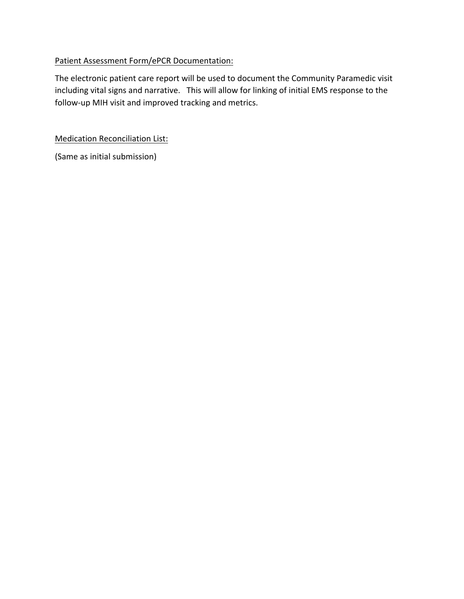## Patient Assessment Form/ePCR Documentation:

The electronic patient care report will be used to document the Community Paramedic visit including vital signs and narrative. This will allow for linking of initial EMS response to the follow-up MIH visit and improved tracking and metrics.

**Medication Reconciliation List:** 

(Same as initial submission)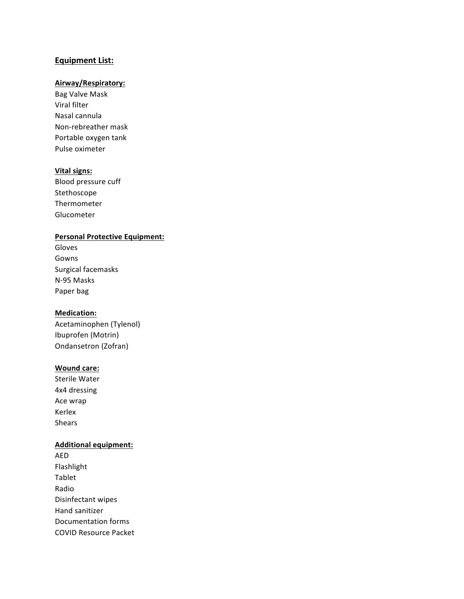#### **Equipment List:**

## **Airway/Respiratory:**

Bag Valve Mask Viral filter Nasal cannula Non-rebreather mask Portable oxygen tank Pulse oximeter

#### **Vital signs:**

Blood pressure cuff Stethoscope Thermometer Glucometer 

#### **Personal Protective Equipment:**

Gloves Gowns Surgical facemasks N-95 Masks Paper bag

#### **Medication:**

Acetaminophen (Tylenol) Ibuprofen (Motrin) Ondansetron (Zofran)

#### **Wound care:**

Sterile Water 4x4 dressing Ace wrap Kerlex Shears

#### **Additional equipment:**

AED Flashlight Tablet Radio Disinfectant wipes Hand sanitizer Documentation forms COVID Resource Packet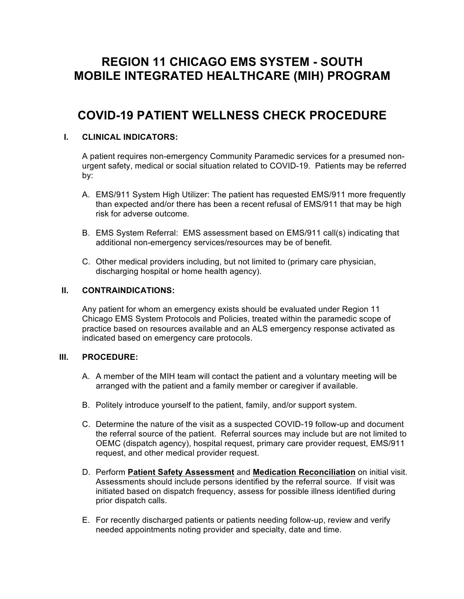# **REGION 11 CHICAGO EMS SYSTEM - SOUTH MOBILE INTEGRATED HEALTHCARE (MIH) PROGRAM**

# **COVID-19 PATIENT WELLNESS CHECK PROCEDURE**

## **I. CLINICAL INDICATORS:**

A patient requires non-emergency Community Paramedic services for a presumed nonurgent safety, medical or social situation related to COVID-19. Patients may be referred by:

- A. EMS/911 System High Utilizer: The patient has requested EMS/911 more frequently than expected and/or there has been a recent refusal of EMS/911 that may be high risk for adverse outcome.
- B. EMS System Referral: EMS assessment based on EMS/911 call(s) indicating that additional non-emergency services/resources may be of benefit.
- C. Other medical providers including, but not limited to (primary care physician, discharging hospital or home health agency).

#### **II. CONTRAINDICATIONS:**

Any patient for whom an emergency exists should be evaluated under Region 11 Chicago EMS System Protocols and Policies, treated within the paramedic scope of practice based on resources available and an ALS emergency response activated as indicated based on emergency care protocols.

#### **III. PROCEDURE:**

- A. A member of the MIH team will contact the patient and a voluntary meeting will be arranged with the patient and a family member or caregiver if available.
- B. Politely introduce yourself to the patient, family, and/or support system.
- C. Determine the nature of the visit as a suspected COVID-19 follow-up and document the referral source of the patient. Referral sources may include but are not limited to OEMC (dispatch agency), hospital request, primary care provider request, EMS/911 request, and other medical provider request.
- D. Perform **Patient Safety Assessment** and **Medication Reconciliation** on initial visit. Assessments should include persons identified by the referral source. If visit was initiated based on dispatch frequency, assess for possible illness identified during prior dispatch calls.
- E. For recently discharged patients or patients needing follow-up, review and verify needed appointments noting provider and specialty, date and time.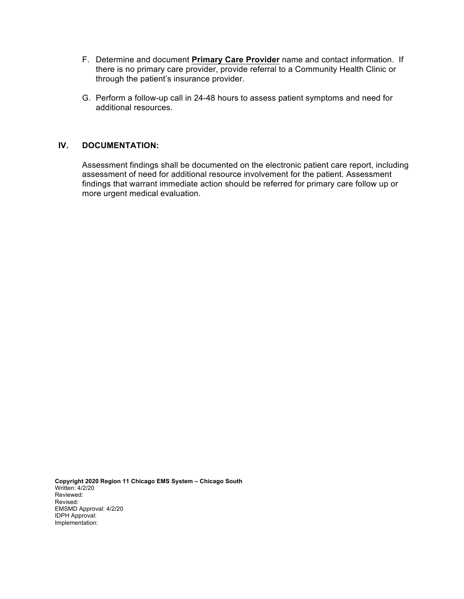- F. Determine and document **Primary Care Provider** name and contact information. If there is no primary care provider, provide referral to a Community Health Clinic or through the patient's insurance provider.
- G. Perform a follow-up call in 24-48 hours to assess patient symptoms and need for additional resources.

## **IV. DOCUMENTATION:**

Assessment findings shall be documented on the electronic patient care report, including assessment of need for additional resource involvement for the patient. Assessment findings that warrant immediate action should be referred for primary care follow up or more urgent medical evaluation.

**Copyright 2020 Region 11 Chicago EMS System – Chicago South**  Written: 4/2/20 Reviewed: Revised: EMSMD Approval: 4/2/20 IDPH Approval: Implementation: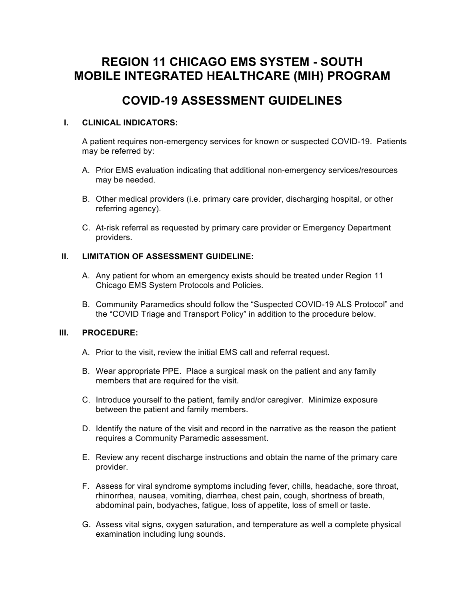# **REGION 11 CHICAGO EMS SYSTEM - SOUTH MOBILE INTEGRATED HEALTHCARE (MIH) PROGRAM**

## **COVID-19 ASSESSMENT GUIDELINES**

## **I. CLINICAL INDICATORS:**

A patient requires non-emergency services for known or suspected COVID-19. Patients may be referred by:

- A. Prior EMS evaluation indicating that additional non-emergency services/resources may be needed.
- B. Other medical providers (i.e. primary care provider, discharging hospital, or other referring agency).
- C. At-risk referral as requested by primary care provider or Emergency Department providers.

## **II. LIMITATION OF ASSESSMENT GUIDELINE:**

- A. Any patient for whom an emergency exists should be treated under Region 11 Chicago EMS System Protocols and Policies.
- B. Community Paramedics should follow the "Suspected COVID-19 ALS Protocol" and the "COVID Triage and Transport Policy" in addition to the procedure below.

## **III. PROCEDURE:**

- A. Prior to the visit, review the initial EMS call and referral request.
- B. Wear appropriate PPE. Place a surgical mask on the patient and any family members that are required for the visit.
- C. Introduce yourself to the patient, family and/or caregiver. Minimize exposure between the patient and family members.
- D. Identify the nature of the visit and record in the narrative as the reason the patient requires a Community Paramedic assessment.
- E. Review any recent discharge instructions and obtain the name of the primary care provider.
- F. Assess for viral syndrome symptoms including fever, chills, headache, sore throat, rhinorrhea, nausea, vomiting, diarrhea, chest pain, cough, shortness of breath, abdominal pain, bodyaches, fatigue, loss of appetite, loss of smell or taste.
- G. Assess vital signs, oxygen saturation, and temperature as well a complete physical examination including lung sounds.